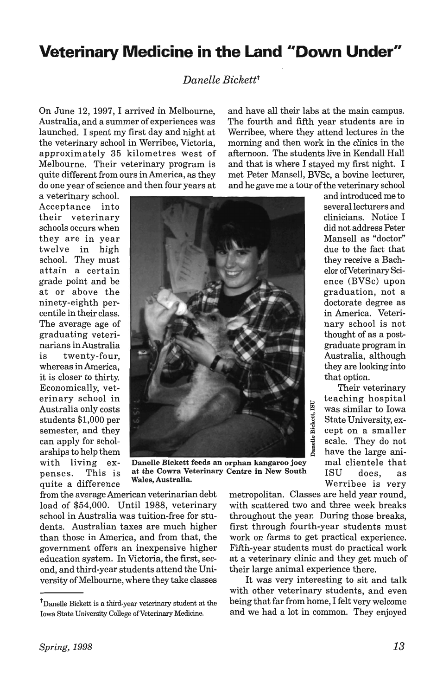## **Veterinary Medicine in the Land "Down Under"**

## *Danelle Bickettt*

On June 12, 1997, I arrived in Melbourne, Australia, and a summer of experiences was launched. I spent my first day and night at the veterinary school in Werribee, Victoria, approximately 35 kilometres west of Melbourne. Their veterinary program is quite different from ours in America, as they do one year of science and then four years at and have all their labs at the main campus. The fourth and fifth year students are in Werribee, where they attend lectures in the morning and then work in the clinics in the afternoon. The students live in Kendall Hall and that is where I stayed my first night. I met Peter Mansell, BVSc, a bovine lecturer, and he gave me a tour of the veterinary school

a veterinary school. Acceptance into their veterinary schools occurs when they are in year twelve in high school. They must attain a certain grade point and be at or above the ninety-eighth percentile in their class. The average age of graduating veterinarians in Australia is twenty-four, whereas in America, it is closer to thirty. Economically, veterinary school in Australia only costs students \$1,000 per semester, and they can apply for scholarships to help them with living expenses. This is quite a difference

at the Cowra Veterinary Centre in New South Wales, Australia. Werribee is very

from the average American veterinarian debt load of \$54,000. Until 1988, veterinary school in Australia was tuition-free for students. Australian taxes are much higher than those in America, and from that, the government offers an inexpensive higher education system. In Victoria, the first, second, and third-year students attend the University of Melbourne, where they take classes

tDanelle Bickett is a third-year veterinary student at the Iowa State University College of Veterinary Medicine.

metropolitan. Classes are held year round, with scattered two and three week breaks throughout the year. During those breaks, first through fourth-year students must work on farms to get practical experience. Fifth-year students must do practical work at a veterinary clinic and they get much of their large animal experience there.

Danelle Bickett, ISU

It was very interesting to sit and talk with other veterinary students, and even being that far from home, I felt very welcome and we had a lot in common. They enjoyed

and introduced me to several lecturers and clinicians. Notice I did not address Peter Mansell as "doctor" due to the fact that they receive a Bachelor ofVeterinary Science (BVSc) upon graduation, not a doctorate degree as in America. Veterinary school is not thought of as a postgraduate program in Australia, although they are looking into that option.

Their veterinary teaching hospital <sup>~</sup>was similar to Iowa State University, except on a smaller scale. They do not have the large animal clientele that ISU does, as

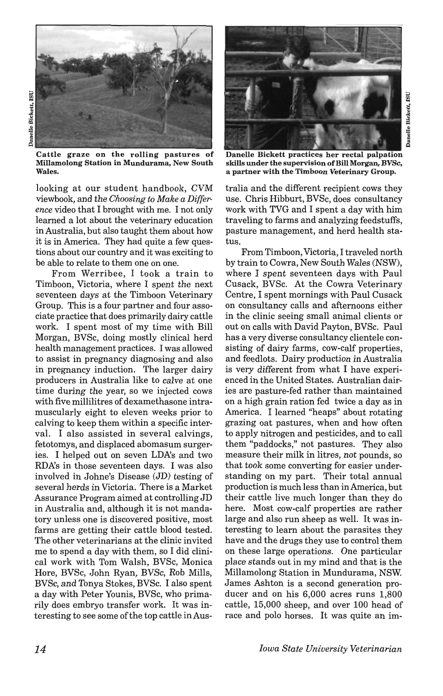

Cattle graze on the rolling pastures of Millamolong Station in Mundurama, New South Wales.

looking at our student handbook, CVM viewbook, and the *Choosing to Make a Difference* video that I brought with me. I not only learned a lot about the veterinary education in Australia, but also taught them about how it is in America. They had quite a few questions about our country and it was exciting to be able to relate to them one on one.

From Werribee, I took a train to Timboon, Victoria, where I spent the next seventeen days at the Timboon Veterinary Group. This is a four partner and four associate practice that does primarily dairy cattle work. I spent most of my time with Bill Morgan, BVSc, doing mostly clinical herd health management practices. I was allowed to assist in pregnancy diagnosing and also in pregnancy induction. The larger dairy producers in Australia like to calve at one time during the year, so we injected cows with five millilitres of dexamethasone intramuscularly eight to eleven weeks prior to calving to keep them within a specific interval. I also assisted in several calvings, fetotomys, and displaced abomasum surgeries. I helped out on seven LDA's and two RDA's in those seventeen days. I was also involved in Johne's Disease (JD) testing of several herds in Victoria. There is a Market Assurance Program aimed at controlling JD in Australia and, although it is not mandatory unless one is discovered positive, most farms are getting their cattle blood tested. The other veterinarians at the clinic invited me to spend a day with them, so I did clinical work with Tom Walsh, BVSc, Monica Hore, BVSc, John Ryan, BVSc, Rob Mills, BVSc, and Tonya Stokes, BVSc. I also spent a day with Peter Younis, BVSc, who primarily does embryo transfer work. It was interesting to see some of the top cattle in Aus-



Danelle Bickett practices her rectal palpation skills under the supervision of Bill Morgan, BVSc, a partner with the Timboon Veterinary Group.

tralia and the different recipient cows they use. Chris Hibburt, BVSc, does consultancy work with TVG and I spent a day with him traveling to farms and analyzing feedstuffs, pasture management, and herd health status.

From Timboon, Victoria, I traveled north by train to Cowra, New South Wales (NSW), where I spent seventeen days with Paul Cusack, BVSc. At the Cowra Veterinary Centre, I spent mornings with Paul Cusack on consultancy calls and afternoons either in the clinic seeing small animal clients or out on calls with David Payton, BVSc. Paul has a very diverse consultancy clientele consisting of dairy farms, cow-calf properties, and feedlots. Dairy production in Australia is very different from what I have experienced in the United States. Australian dairies are pasture-fed rather than maintained on a high grain ration fed twice a day as in America. I learned "heaps" about rotating grazing oat pastures, when and how often to apply nitrogen and pesticides, and to call them "paddocks," not pastures. They also measure their milk in litres, not pounds, so that took some converting for easier understanding on my part. Their total annual production is much less than in America, but their cattle live much longer than they do here. Most cow-calf properties are rather large and also run sheep as well. It was interesting to learn about the parasites they have and the drugs they use to control them on these large operations. One particular place stands out in my mind and that is the Millamolong Station in Mundurama, NSW. James Ashton is a second generation producer and on his 6,000 acres runs 1,800 cattle, 15,000 sheep, and over 100 head of race and polo horses. It was quite an im